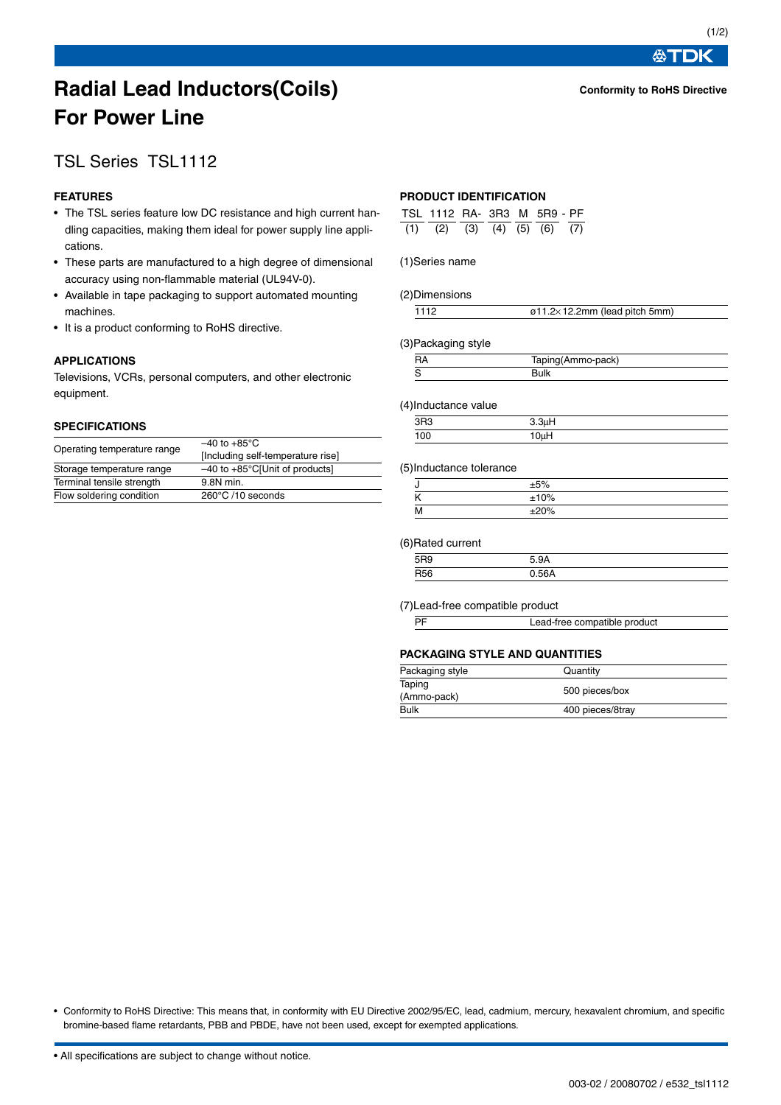#### **Conformity to RoHS Directive**

**公丁DK** 

# **Radial Lead Inductors(Coils) For Power Line**

# TSL Series TSL1112

# **FEATURES**

- The TSL series feature low DC resistance and high current handling capacities, making them ideal for power supply line applications.
- These parts are manufactured to a high degree of dimensional accuracy using non-flammable material (UL94V-0).
- Available in tape packaging to support automated mounting machines.
- It is a product conforming to RoHS directive.

# **APPLICATIONS**

Televisions, VCRs, personal computers, and other electronic equipment.

## **SPECIFICATIONS**

| Operating temperature range | $-40$ to $+85^{\circ}$ C<br>[Including self-temperature rise] |  |  |  |
|-----------------------------|---------------------------------------------------------------|--|--|--|
| Storage temperature range   | $-40$ to $+85^{\circ}$ C[Unit of products]                    |  |  |  |
| Terminal tensile strength   | 9.8N min.                                                     |  |  |  |
| Flow soldering condition    | 260°C /10 seconds                                             |  |  |  |

# **PRODUCT IDENTIFICATION**

| TSL 1112 RA- 3R3 M 5R9 - PF               |  |  |  |
|-------------------------------------------|--|--|--|
| $(1)$ $(2)$ $(3)$ $(4)$ $(5)$ $(6)$ $(7)$ |  |  |  |

#### (1)Series name

#### (2)Dimensions

| $\varnothing$ 11.2×12.2mm (lead pitch 5mm) |
|--------------------------------------------|
|                                            |

#### (3)Packaging style

| Taping(Ammo-pack) |  |
|-------------------|--|
|                   |  |

#### (4)Inductance value

| . . |           |     |
|-----|-----------|-----|
|     | פםפ<br>10 |     |
|     | 100       | 0.1 |
|     |           |     |

#### (5)Inductance tolerance

| υ                        | ±5%  |  |
|--------------------------|------|--|
| $\overline{\phantom{a}}$ | ±10% |  |
| м<br>                    | ±20% |  |

#### (6)Rated current

| __ |     |  |
|----|-----|--|
|    | rno |  |
|    | DER |  |

#### (7)Lead-free compatible product

|--|

# **PACKAGING STYLE AND QUANTITIES**

| Packaging style       | Quantity         |
|-----------------------|------------------|
| Taping<br>(Ammo-pack) | 500 pieces/box   |
| Bulk                  | 400 pieces/8tray |

• Conformity to RoHS Directive: This means that, in conformity with EU Directive 2002/95/EC, lead, cadmium, mercury, hexavalent chromium, and specific bromine-based flame retardants, PBB and PBDE, have not been used, except for exempted applications.

• All specifications are subject to change without notice.